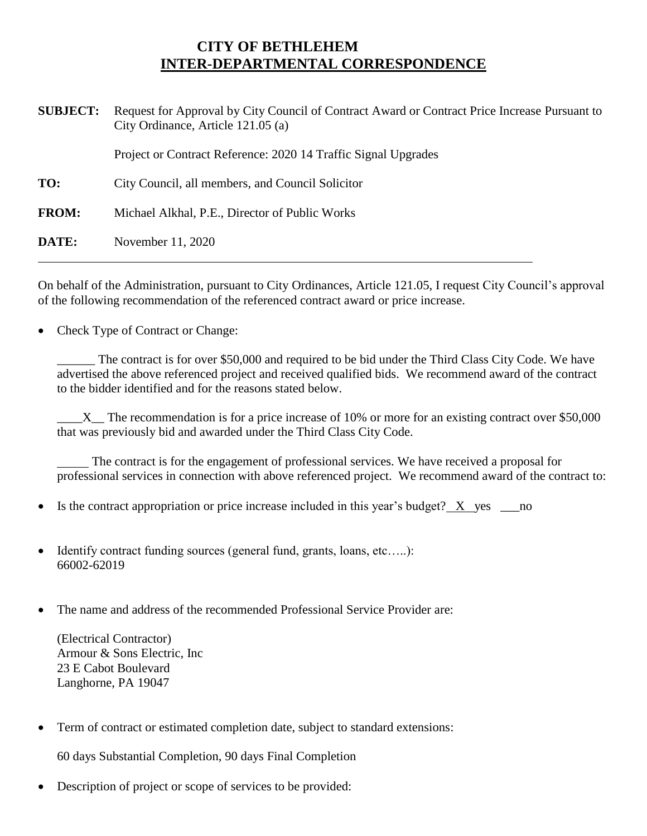## **CITY OF BETHLEHEM INTER-DEPARTMENTAL CORRESPONDENCE**

| <b>SUBJECT:</b> | Request for Approval by City Council of Contract Award or Contract Price Increase Pursuant to<br>City Ordinance, Article 121.05 (a) |
|-----------------|-------------------------------------------------------------------------------------------------------------------------------------|
|                 | Project or Contract Reference: 2020 14 Traffic Signal Upgrades                                                                      |
| TO:             | City Council, all members, and Council Solicitor                                                                                    |
| <b>FROM:</b>    | Michael Alkhal, P.E., Director of Public Works                                                                                      |
| DATE:           | November 11, 2020                                                                                                                   |

On behalf of the Administration, pursuant to City Ordinances, Article 121.05, I request City Council's approval of the following recommendation of the referenced contract award or price increase.

• Check Type of Contract or Change:

\_\_\_\_\_\_ The contract is for over \$50,000 and required to be bid under the Third Class City Code. We have advertised the above referenced project and received qualified bids. We recommend award of the contract to the bidder identified and for the reasons stated below.

 $\_X$  The recommendation is for a price increase of 10% or more for an existing contract over \$50,000 that was previously bid and awarded under the Third Class City Code.

 The contract is for the engagement of professional services. We have received a proposal for professional services in connection with above referenced project. We recommend award of the contract to:

- Is the contract appropriation or price increase included in this year's budget?  $X$  yes no
- Identify contract funding sources (general fund, grants, loans, etc.....): 66002-62019
- The name and address of the recommended Professional Service Provider are:

(Electrical Contractor) Armour & Sons Electric, Inc 23 E Cabot Boulevard Langhorne, PA 19047

Term of contract or estimated completion date, subject to standard extensions:

60 days Substantial Completion, 90 days Final Completion

Description of project or scope of services to be provided: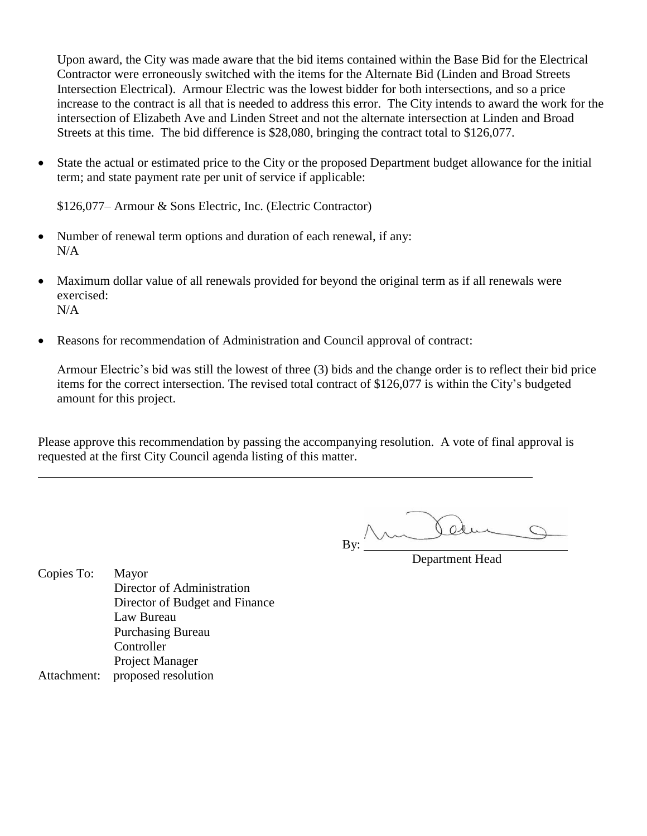Upon award, the City was made aware that the bid items contained within the Base Bid for the Electrical Contractor were erroneously switched with the items for the Alternate Bid (Linden and Broad Streets Intersection Electrical). Armour Electric was the lowest bidder for both intersections, and so a price increase to the contract is all that is needed to address this error. The City intends to award the work for the intersection of Elizabeth Ave and Linden Street and not the alternate intersection at Linden and Broad Streets at this time. The bid difference is \$28,080, bringing the contract total to \$126,077.

 State the actual or estimated price to the City or the proposed Department budget allowance for the initial term; and state payment rate per unit of service if applicable:

\$126,077– Armour & Sons Electric, Inc. (Electric Contractor)

- Number of renewal term options and duration of each renewal, if any: N/A
- Maximum dollar value of all renewals provided for beyond the original term as if all renewals were exercised:  $N/A$
- Reasons for recommendation of Administration and Council approval of contract:

Armour Electric's bid was still the lowest of three (3) bids and the change order is to reflect their bid price items for the correct intersection. The revised total contract of \$126,077 is within the City's budgeted amount for this project.

Please approve this recommendation by passing the accompanying resolution. A vote of final approval is requested at the first City Council agenda listing of this matter.

 $O$ By:

Department Head

Copies To: Mayor Director of Administration Director of Budget and Finance Law Bureau Purchasing Bureau **Controller** Project Manager Attachment: proposed resolution